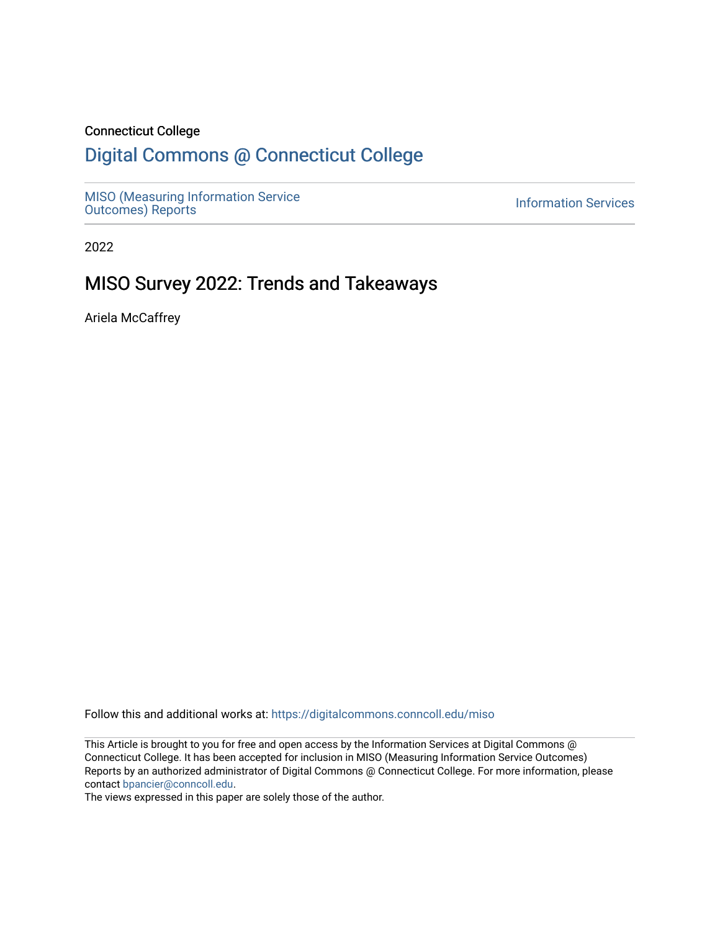#### Connecticut College

# [Digital Commons @ Connecticut College](https://digitalcommons.conncoll.edu/)

[MISO \(Measuring Information Service](https://digitalcommons.conncoll.edu/miso) NISO (Measuring information Service<br>[Outcomes\) Reports](https://digitalcommons.conncoll.edu/miso) Information Services

2022

# MISO Survey 2022: Trends and Takeaways

Ariela McCaffrey

Follow this and additional works at: [https://digitalcommons.conncoll.edu/miso](https://digitalcommons.conncoll.edu/miso?utm_source=digitalcommons.conncoll.edu%2Fmiso%2F5&utm_medium=PDF&utm_campaign=PDFCoverPages) 

This Article is brought to you for free and open access by the Information Services at Digital Commons @ Connecticut College. It has been accepted for inclusion in MISO (Measuring Information Service Outcomes) Reports by an authorized administrator of Digital Commons @ Connecticut College. For more information, please contact [bpancier@conncoll.edu](mailto:bpancier@conncoll.edu).

The views expressed in this paper are solely those of the author.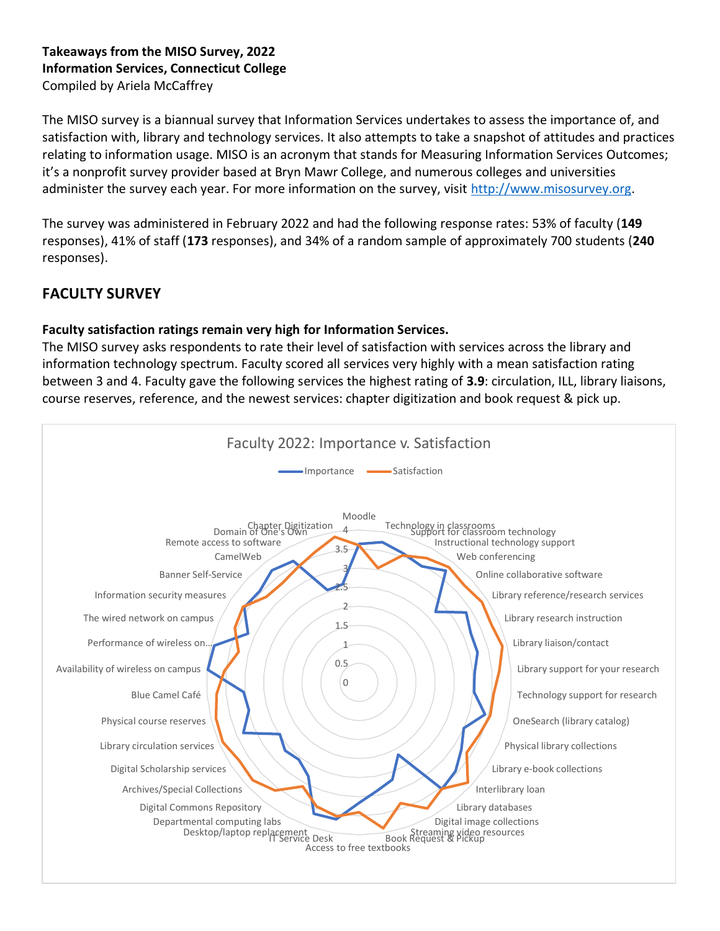### **Takeaways from the MISO Survey, 2022 Information Services, Connecticut College**  Compiled by Ariela McCaffrey

The MISO survey is a biannual survey that Information Services undertakes to assess the importance of, and satisfaction with, library and technology services. It also attempts to take a snapshot of attitudes and practices relating to information usage. MISO is an acronym that stands for Measuring Information Services Outcomes; it's a nonprofit survey provider based at Bryn Mawr College, and numerous colleges and universities administer the survey each year. For more information on the survey, visit [http://www.misosurvey.org.](http://www.misosurvey.org/)

The survey was administered in February 2022 and had the following response rates: 53% of faculty (**149**  responses), 41% of staff (**173** responses), and 34% of a random sample of approximately 700 students (**240** responses).

# **FACULTY SURVEY**

# **Faculty satisfaction ratings remain very high for Information Services.**

The MISO survey asks respondents to rate their level of satisfaction with services across the library and information technology spectrum. Faculty scored all services very highly with a mean satisfaction rating between 3 and 4. Faculty gave the following services the highest rating of **3.9**: circulation, ILL, library liaisons, course reserves, reference, and the newest services: chapter digitization and book request & pick up.

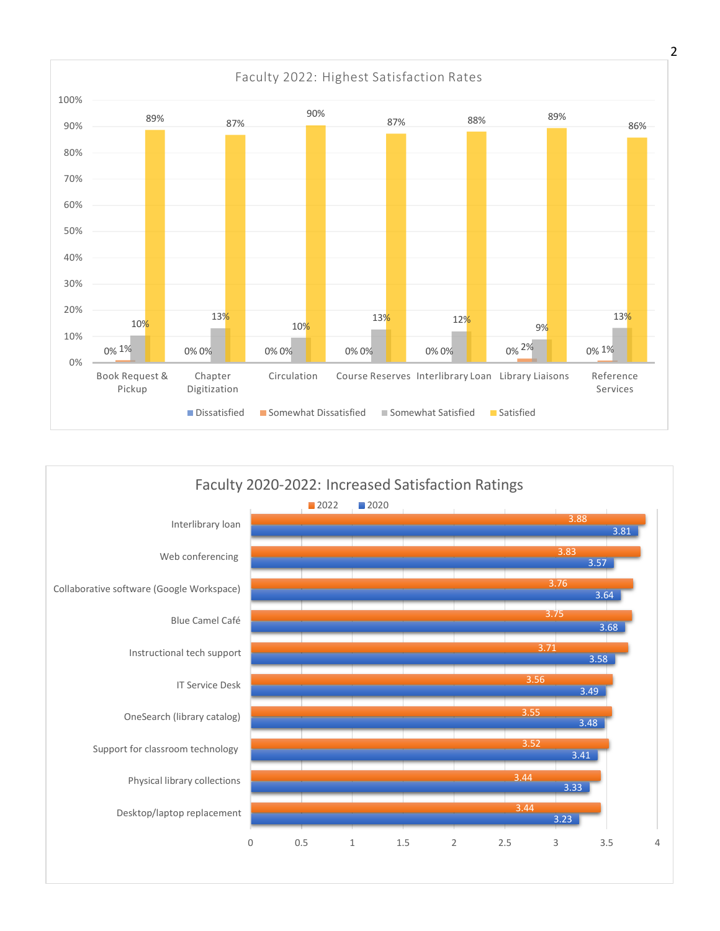

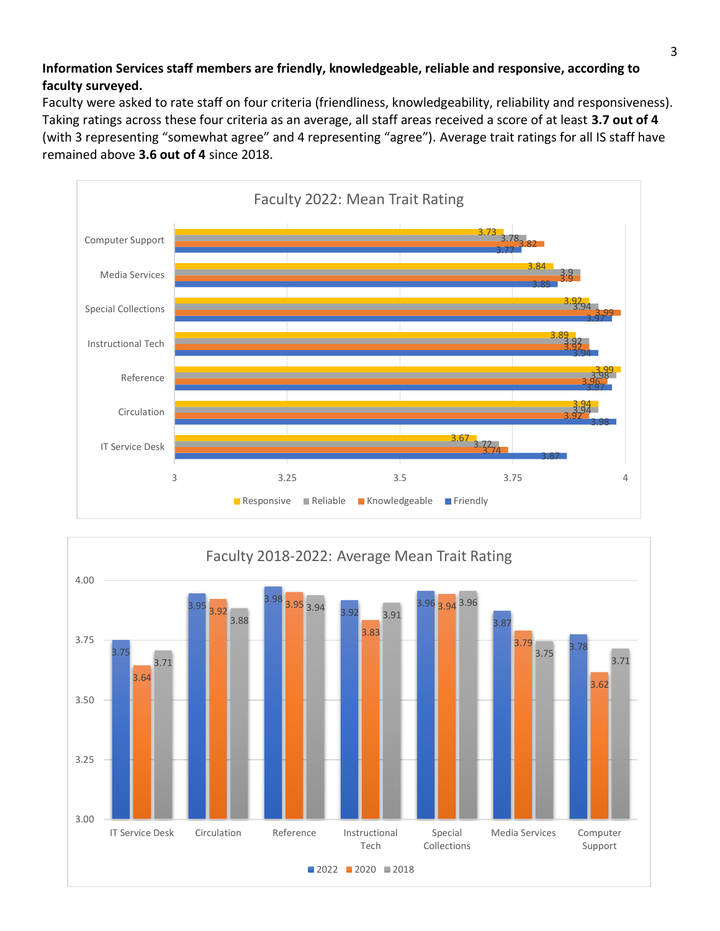## **Information Services staff members are friendly, knowledgeable, reliable and responsive, according to faculty surveyed.**

Faculty were asked to rate staff on four criteria (friendliness, knowledgeability, reliability and responsiveness). Taking ratings across these four criteria as an average, all staff areas received a score of at least **3.7 out of 4** (with 3 representing "somewhat agree" and 4 representing "agree"). Average trait ratings for all IS staff have remained above **3.6 out of 4** since 2018.



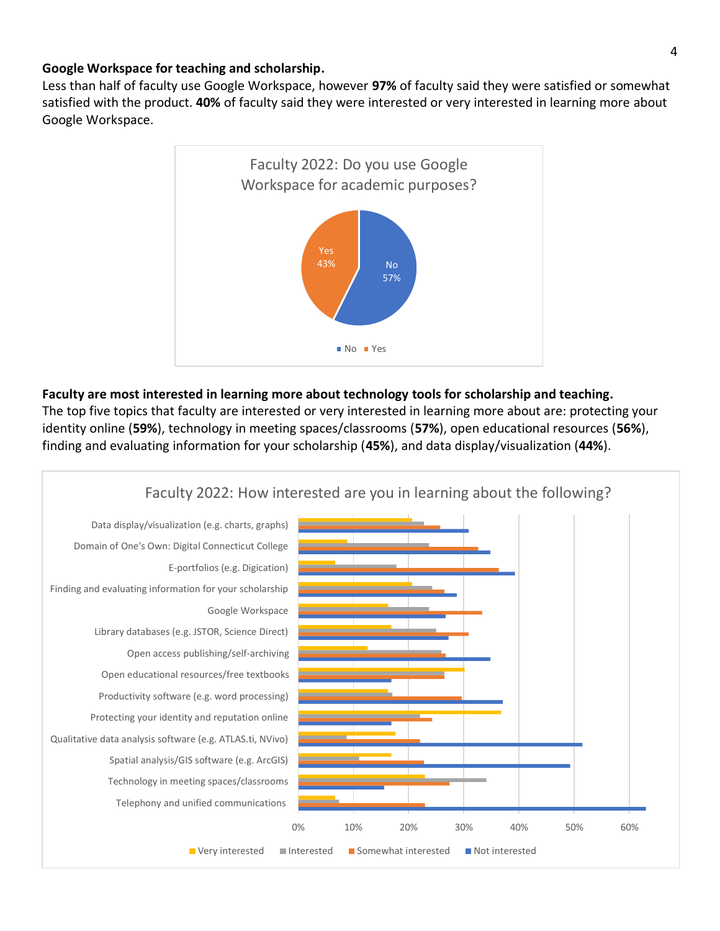#### **Google Workspace for teaching and scholarship.**

Less than half of faculty use Google Workspace, however **97%** of faculty said they were satisfied or somewhat satisfied with the product. **40%** of faculty said they were interested or very interested in learning more about Google Workspace.



#### **Faculty are most interested in learning more about technology tools for scholarship and teaching.**

The top five topics that faculty are interested or very interested in learning more about are: protecting your identity online (**59%**), technology in meeting spaces/classrooms (**57%**), open educational resources (**56%**), finding and evaluating information for your scholarship (**45%**), and data display/visualization (**44%**).

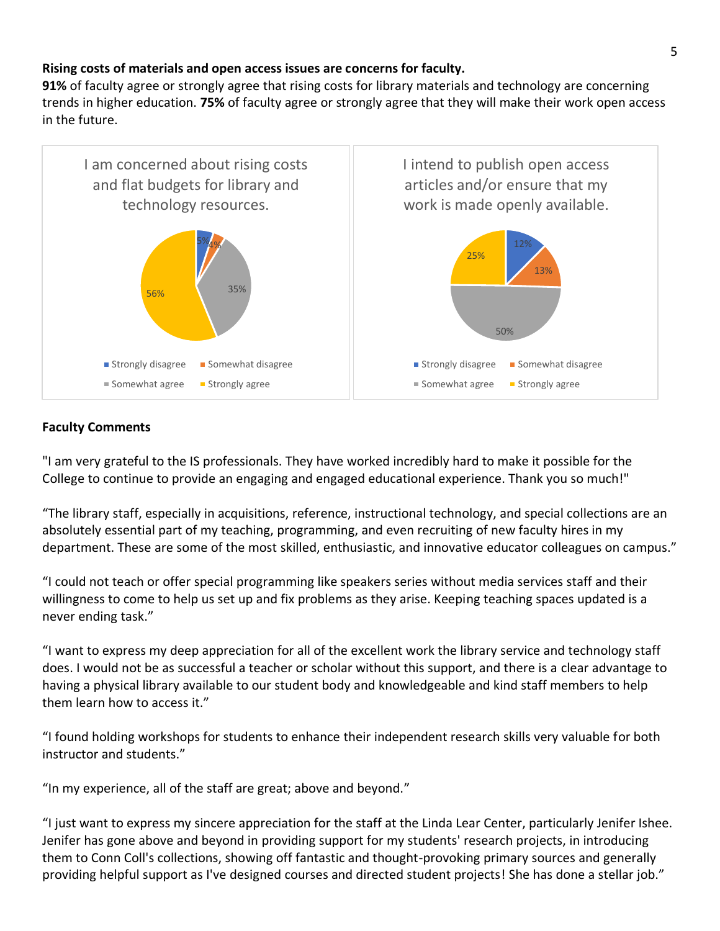### **Rising costs of materials and open access issues are concerns for faculty.**

**91%** of faculty agree or strongly agree that rising costs for library materials and technology are concerning trends in higher education. **75%** of faculty agree or strongly agree that they will make their work open access in the future.



### **Faculty Comments**

"I am very grateful to the IS professionals. They have worked incredibly hard to make it possible for the College to continue to provide an engaging and engaged educational experience. Thank you so much!"

"The library staff, especially in acquisitions, reference, instructional technology, and special collections are an absolutely essential part of my teaching, programming, and even recruiting of new faculty hires in my department. These are some of the most skilled, enthusiastic, and innovative educator colleagues on campus."

"I could not teach or offer special programming like speakers series without media services staff and their willingness to come to help us set up and fix problems as they arise. Keeping teaching spaces updated is a never ending task."

"I want to express my deep appreciation for all of the excellent work the library service and technology staff does. I would not be as successful a teacher or scholar without this support, and there is a clear advantage to having a physical library available to our student body and knowledgeable and kind staff members to help them learn how to access it."

"I found holding workshops for students to enhance their independent research skills very valuable for both instructor and students."

"In my experience, all of the staff are great; above and beyond."

"I just want to express my sincere appreciation for the staff at the Linda Lear Center, particularly Jenifer Ishee. Jenifer has gone above and beyond in providing support for my students' research projects, in introducing them to Conn Coll's collections, showing off fantastic and thought-provoking primary sources and generally providing helpful support as I've designed courses and directed student projects! She has done a stellar job."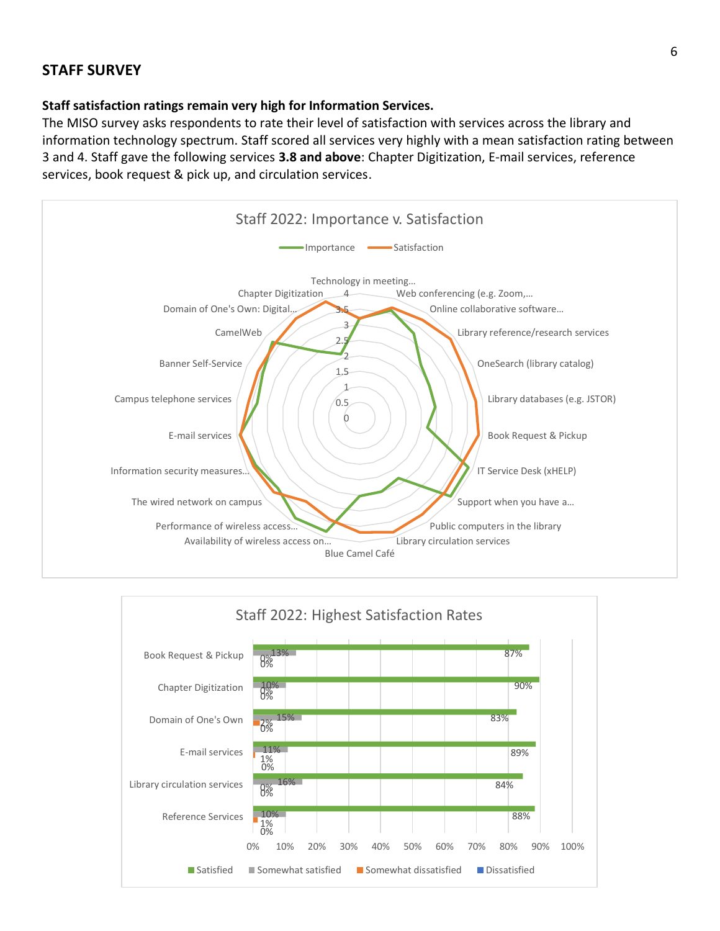# **STAFF SURVEY**

#### **Staff satisfaction ratings remain very high for Information Services.**

The MISO survey asks respondents to rate their level of satisfaction with services across the library and information technology spectrum. Staff scored all services very highly with a mean satisfaction rating between 3 and 4. Staff gave the following services **3.8 and above**: Chapter Digitization, E-mail services, reference services, book request & pick up, and circulation services.



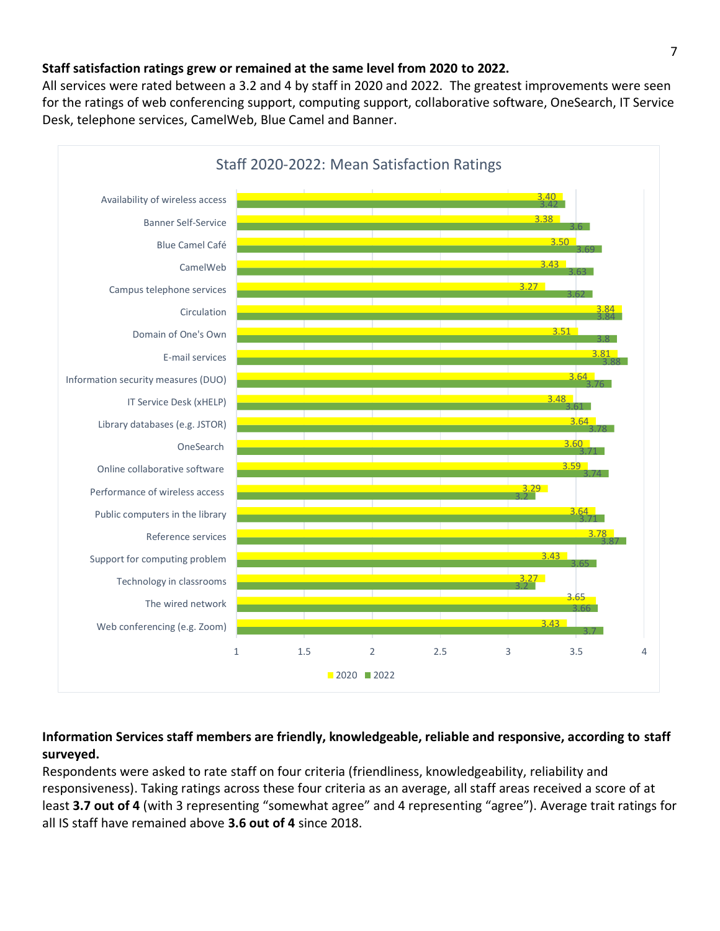## **Staff satisfaction ratings grew or remained at the same level from 2020 to 2022.**

All services were rated between a 3.2 and 4 by staff in 2020 and 2022. The greatest improvements were seen for the ratings of web conferencing support, computing support, collaborative software, OneSearch, IT Service Desk, telephone services, CamelWeb, Blue Camel and Banner.



# **Information Services staff members are friendly, knowledgeable, reliable and responsive, according to staff surveyed.**

Respondents were asked to rate staff on four criteria (friendliness, knowledgeability, reliability and responsiveness). Taking ratings across these four criteria as an average, all staff areas received a score of at least **3.7 out of 4** (with 3 representing "somewhat agree" and 4 representing "agree"). Average trait ratings for all IS staff have remained above **3.6 out of 4** since 2018.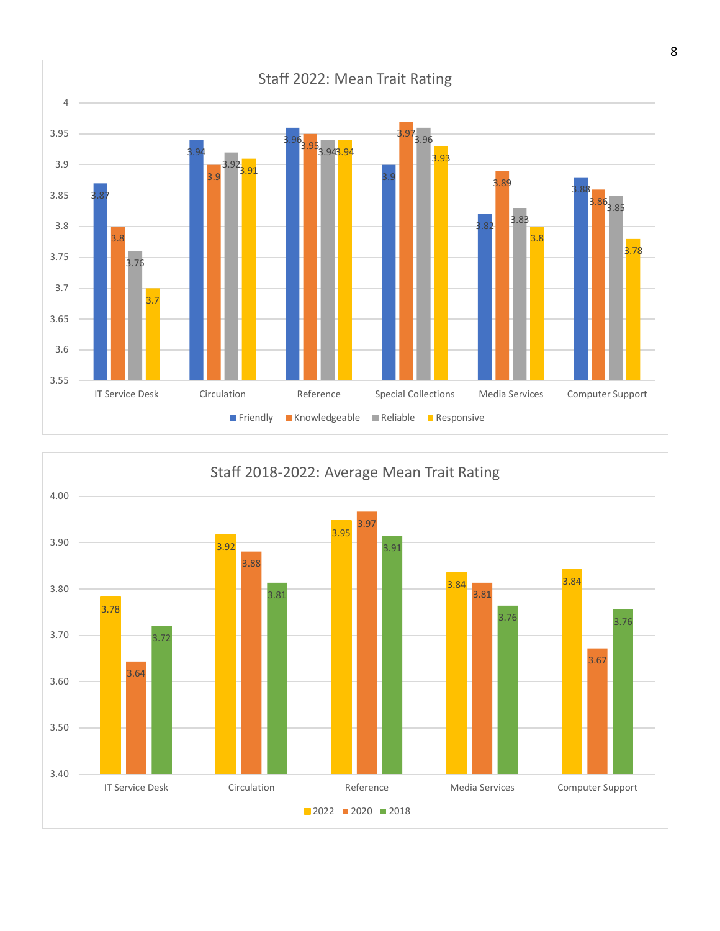

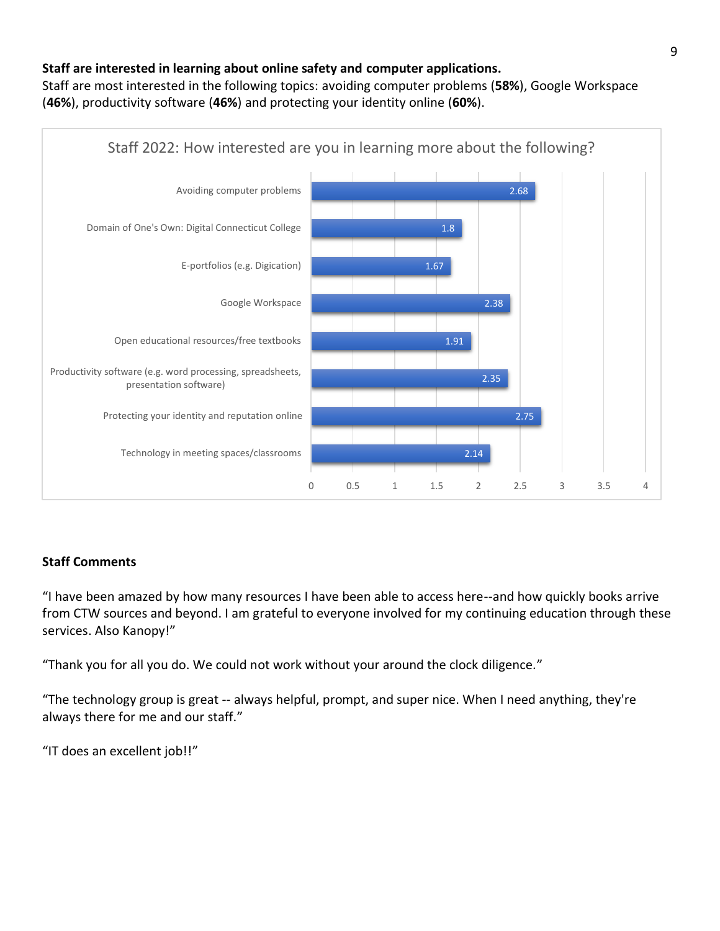## **Staff are interested in learning about online safety and computer applications.**

Staff are most interested in the following topics: avoiding computer problems (**58%**), Google Workspace (**46%**), productivity software (**46%**) and protecting your identity online (**60%**).



# **Staff Comments**

"I have been amazed by how many resources I have been able to access here--and how quickly books arrive from CTW sources and beyond. I am grateful to everyone involved for my continuing education through these services. Also Kanopy!"

"Thank you for all you do. We could not work without your around the clock diligence."

"The technology group is great -- always helpful, prompt, and super nice. When I need anything, they're always there for me and our staff."

"IT does an excellent job!!"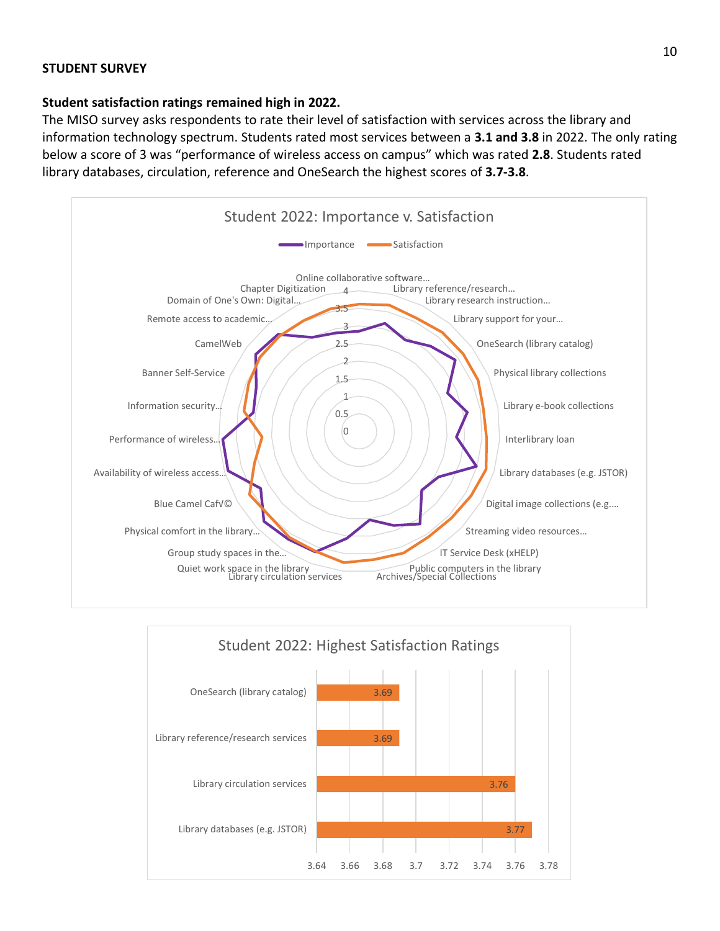#### **STUDENT SURVEY**

#### **Student satisfaction ratings remained high in 2022.**

The MISO survey asks respondents to rate their level of satisfaction with services across the library and information technology spectrum. Students rated most services between a **3.1 and 3.8** in 2022. The only rating below a score of 3 was "performance of wireless access on campus" which was rated **2.8**. Students rated library databases, circulation, reference and OneSearch the highest scores of **3.7-3.8**.



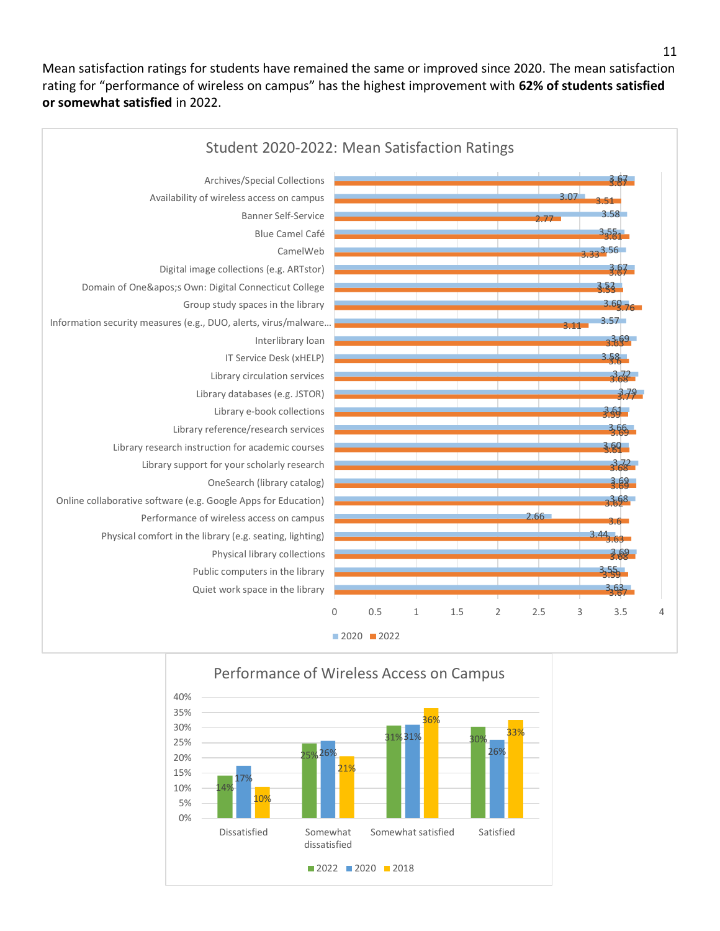Mean satisfaction ratings for students have remained the same or improved since 2020. The mean satisfaction rating for "performance of wireless on campus" has the highest improvement with **62% of students satisfied or somewhat satisfied** in 2022.



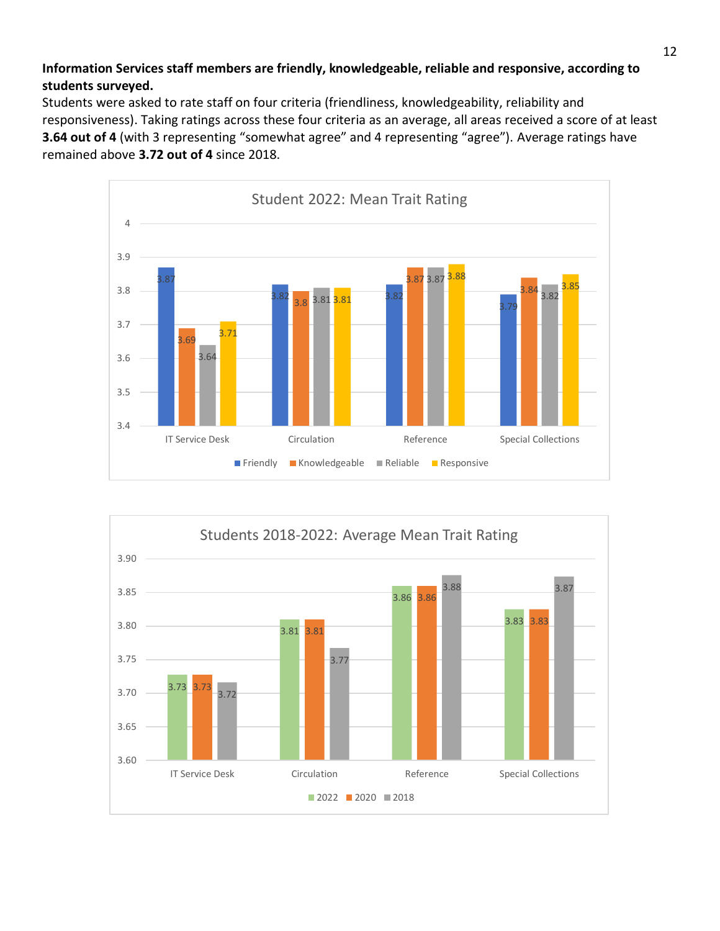## **Information Services staff members are friendly, knowledgeable, reliable and responsive, according to students surveyed.**

Students were asked to rate staff on four criteria (friendliness, knowledgeability, reliability and responsiveness). Taking ratings across these four criteria as an average, all areas received a score of at least **3.64 out of 4** (with 3 representing "somewhat agree" and 4 representing "agree"). Average ratings have remained above **3.72 out of 4** since 2018.



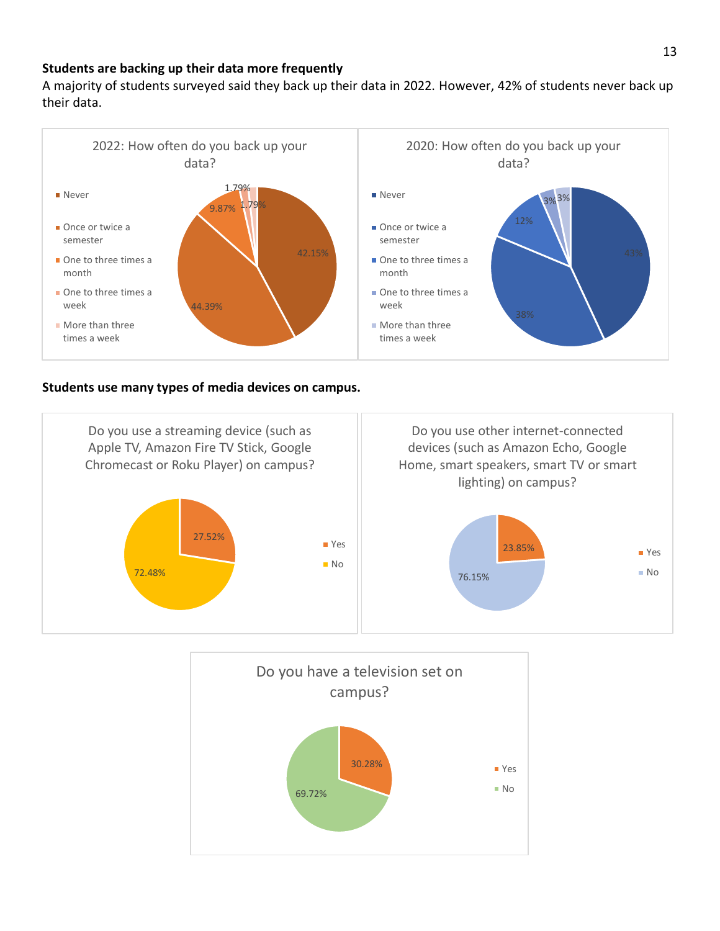### **Students are backing up their data more frequently**

A majority of students surveyed said they back up their data in 2022. However, 42% of students never back up their data.



#### **Students use many types of media devices on campus.**